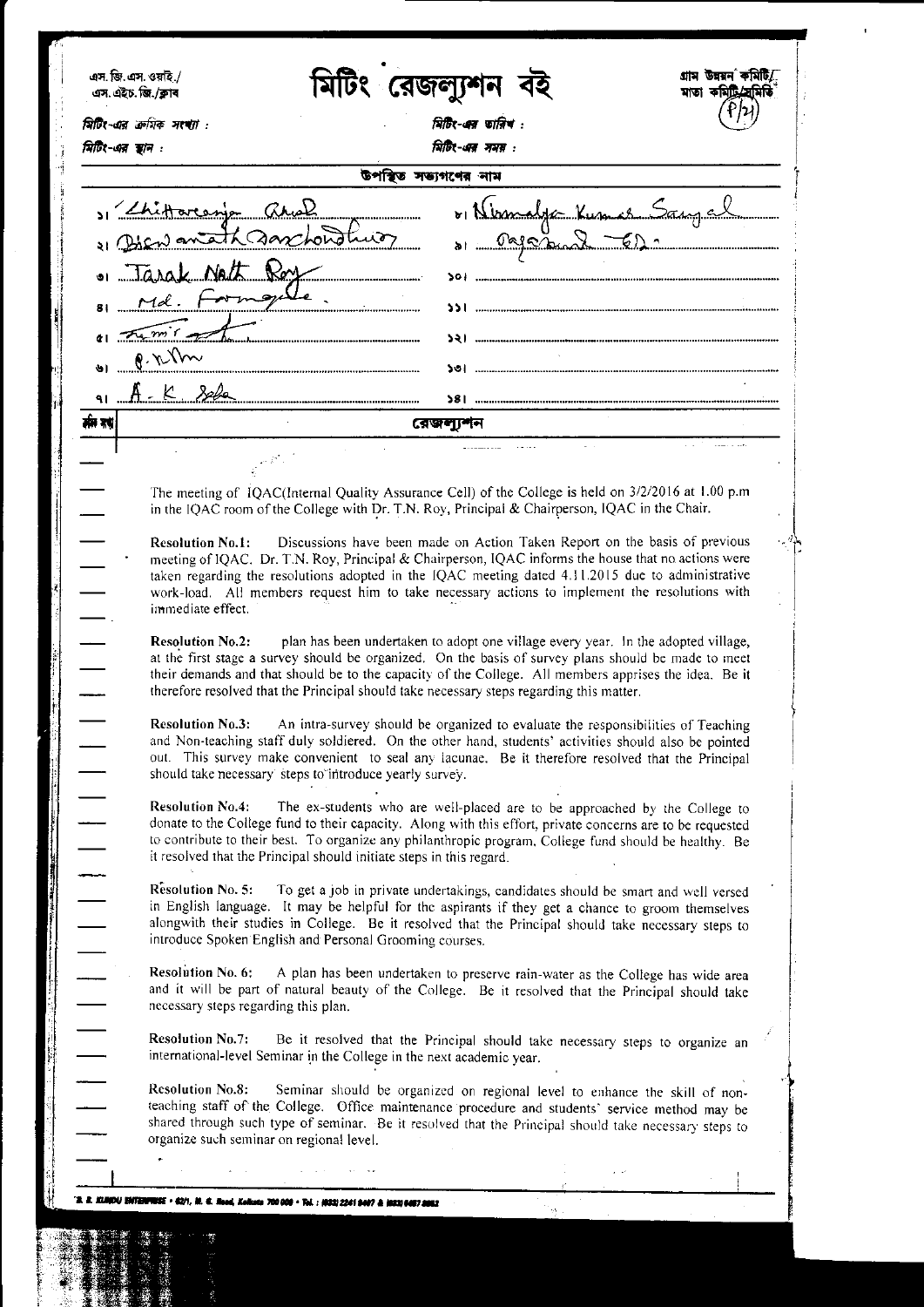| মিটিং-এর ক্রমিক সংখ্যা :<br>মিটিং-এর স্থান : |                                                                  |                                                                                                                                                                                                                                                                                                                                                                                          |                                      | মিটিং-এর তারিখ:<br>मिটिर-अत्र ममस : |                                                                                   |                         |  |
|----------------------------------------------|------------------------------------------------------------------|------------------------------------------------------------------------------------------------------------------------------------------------------------------------------------------------------------------------------------------------------------------------------------------------------------------------------------------------------------------------------------------|--------------------------------------|-------------------------------------|-----------------------------------------------------------------------------------|-------------------------|--|
|                                              |                                                                  |                                                                                                                                                                                                                                                                                                                                                                                          | উপস্থিত সভ্যগণের নাম                 |                                     |                                                                                   |                         |  |
|                                              | 1 Chitarenja anal<br>. Tarak Natt Roy                            | 1) Diewanteth anchorothics                                                                                                                                                                                                                                                                                                                                                               | ,,,,,,,,,,,,,,,,,,,,,,,,,,,,,,,,,,,, |                                     |                                                                                   | 01 Nimelya Kumas Sangel |  |
|                                              | 81 Md. Formgale                                                  | $\epsilon_1$ remit of $\epsilon$                                                                                                                                                                                                                                                                                                                                                         |                                      |                                     |                                                                                   |                         |  |
| $8.6$ lm                                     |                                                                  |                                                                                                                                                                                                                                                                                                                                                                                          |                                      |                                     | <b>&gt;</b> \  ………………………………………………………………………………                                     |                         |  |
|                                              |                                                                  | 91 A. K 326                                                                                                                                                                                                                                                                                                                                                                              |                                      |                                     |                                                                                   |                         |  |
| मी रहा                                       |                                                                  |                                                                                                                                                                                                                                                                                                                                                                                          |                                      | রেজল্যশন                            |                                                                                   |                         |  |
|                                              |                                                                  |                                                                                                                                                                                                                                                                                                                                                                                          |                                      |                                     |                                                                                   |                         |  |
|                                              |                                                                  | The meeting of IQAC(Internal Quality Assurance Cell) of the College is held on 3/2/2016 at 1.00 p.m<br>in the IQAC room of the College with Dr. T.N. Roy, Principal & Chairperson, IQAC in the Chair.                                                                                                                                                                                    |                                      |                                     |                                                                                   |                         |  |
|                                              | <b>Resolution No.1:</b><br>immediate effect.                     | Discussions have been made on Action Taken Report on the basis of previous<br>meeting of IQAC. Dr. T.N. Roy, Principal & Chairperson, IQAC informs the house that no actions were<br>taken regarding the resolutions adopted in the IQAC meeting dated 4.11.2015 due to administrative<br>work-load. All members request him to take necessary actions to implement the resolutions with |                                      |                                     |                                                                                   |                         |  |
|                                              | <b>Resolution No.2:</b>                                          | at the first stage a survey should be organized. On the basis of survey plans should be made to meet<br>their demands and that should be to the capacity of the College. All members apprises the idea. Be it<br>therefore resolved that the Principal should take necessary steps regarding this matter.                                                                                |                                      |                                     | plan has been undertaken to adopt one village every year. In the adopted village, |                         |  |
|                                              | Resolution No.3:                                                 | An intra-survey should be organized to evaluate the responsibilities of Teaching<br>and Non-teaching staff duly soldiered. On the other hand, students' activities should also be pointed<br>out. This survey make convenient to seal any lacunae. Be it therefore resolved that the Principal<br>should take necessary steps to introduce yearly survey.                                |                                      |                                     |                                                                                   |                         |  |
|                                              | <b>Resolution No.4:</b>                                          | The ex-students who are well-placed are to be approached by the College to<br>donate to the College fund to their capacity. Along with this effort, private concerns are to be requested<br>to contribute to their best. To organize any philanthropic program, College fund should be healthy. Be<br>it resolved that the Principal should initiate steps in this regard.               |                                      |                                     |                                                                                   |                         |  |
|                                              | Resolution No. 5.                                                | To get a job in private undertakings, candidates should be smart and well versed<br>in English language. It may be helpful for the aspirants if they get a chance to groom themselves<br>alongwith their studies in College. Be it resolved that the Principal should take necessary steps to<br>introduce Spoken English and Personal Grooming courses.                                 |                                      |                                     |                                                                                   |                         |  |
|                                              | <b>Resolution No. 6:</b><br>necessary steps regarding this plan. | A plan has been undertaken to preserve rain-water as the College has wide area<br>and it will be part of natural beauty of the College. Be it resolved that the Principal should take                                                                                                                                                                                                    |                                      |                                     |                                                                                   |                         |  |
|                                              | <b>Resolution No.7:</b>                                          | Be it resolved that the Principal should take necessary steps to organize an<br>international-level Seminar in the College in the next academic year.                                                                                                                                                                                                                                    |                                      |                                     |                                                                                   |                         |  |
|                                              | <b>Resolution No.8:</b>                                          | Seminar should be organized on regional level to enhance the skill of non-<br>teaching staff of the College. Office maintenance procedure and students' service method may be<br>shared through such type of seminar. Be it resolved that the Principal should take necessary steps to<br>organize such seminar on regional level.                                                       |                                      |                                     |                                                                                   |                         |  |
|                                              |                                                                  |                                                                                                                                                                                                                                                                                                                                                                                          |                                      |                                     |                                                                                   |                         |  |
|                                              |                                                                  |                                                                                                                                                                                                                                                                                                                                                                                          |                                      |                                     |                                                                                   |                         |  |